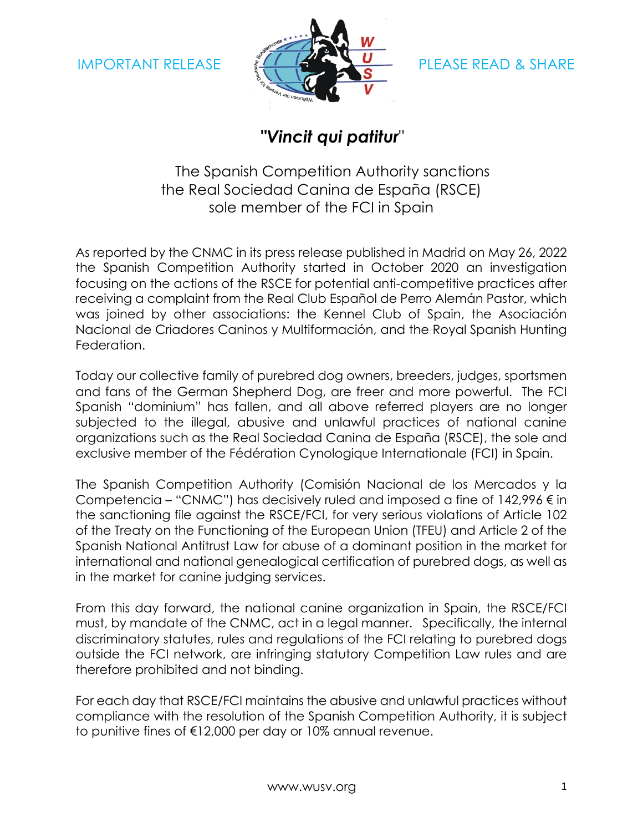

## **"***Vincit qui patitur*"

The Spanish Competition Authority sanctions the Real Sociedad Canina de España (RSCE) sole member of the FCI in Spain

As reported by the CNMC in its press release published in Madrid on May 26, 2022 the Spanish Competition Authority started in October 2020 an investigation focusing on the actions of the RSCE for potential anti-competitive practices after receiving a complaint from the Real Club Español de Perro Alemán Pastor, which was joined by other associations: the Kennel Club of Spain, the Asociación Nacional de Criadores Caninos y Multiformación, and the Royal Spanish Hunting Federation.

Today our collective family of purebred dog owners, breeders, judges, sportsmen and fans of the German Shepherd Dog, are freer and more powerful. The FCI Spanish "dominium" has fallen, and all above referred players are no longer subjected to the illegal, abusive and unlawful practices of national canine organizations such as the Real Sociedad Canina de España (RSCE), the sole and exclusive member of the Fédération Cynologique Internationale (FCI) in Spain.

The Spanish Competition Authority (Comisión Nacional de los Mercados y la Competencia – "CNMC") has decisively ruled and imposed a fine of  $142,996 \in$  in the sanctioning file against the RSCE/FCI, for very serious violations of Article 102 of the Treaty on the Functioning of the European Union (TFEU) and Article 2 of the Spanish National Antitrust Law for abuse of a dominant position in the market for international and national genealogical certification of purebred dogs, as well as in the market for canine judging services.

From this day forward, the national canine organization in Spain, the RSCE/FCI must, by mandate of the CNMC, act in a legal manner. Specifically, the internal discriminatory statutes, rules and regulations of the FCI relating to purebred dogs outside the FCI network, are infringing statutory Competition Law rules and are therefore prohibited and not binding.

For each day that RSCE/FCI maintains the abusive and unlawful practices without compliance with the resolution of the Spanish Competition Authority, it is subject to punitive fines of €12,000 per day or 10% annual revenue.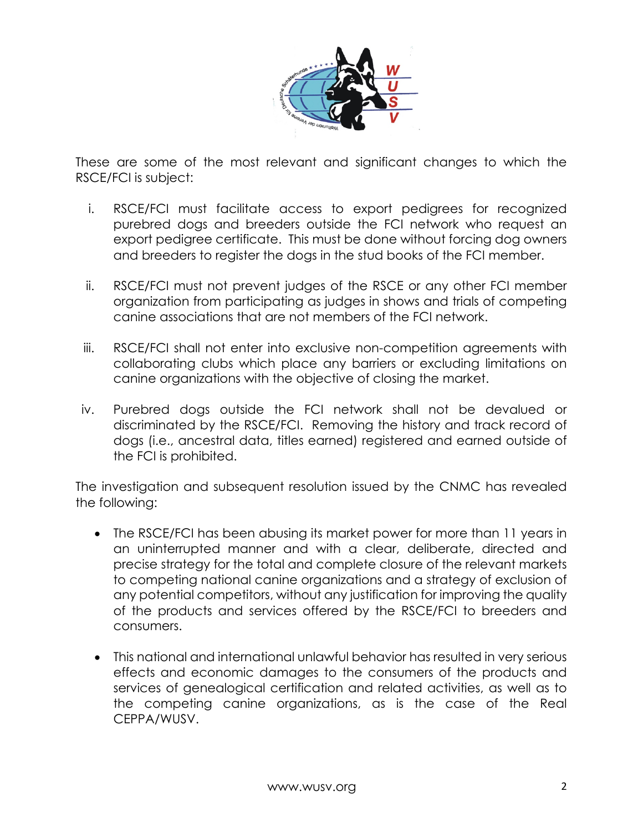

These are some of the most relevant and significant changes to which the RSCE/FCI is subject:

- i. RSCE/FCI must facilitate access to export pedigrees for recognized purebred dogs and breeders outside the FCI network who request an export pedigree certificate. This must be done without forcing dog owners and breeders to register the dogs in the stud books of the FCI member.
- ii. RSCE/FCI must not prevent judges of the RSCE or any other FCI member organization from participating as judges in shows and trials of competing canine associations that are not members of the FCI network.
- iii. RSCE/FCI shall not enter into exclusive non-competition agreements with collaborating clubs which place any barriers or excluding limitations on canine organizations with the objective of closing the market.
- iv. Purebred dogs outside the FCI network shall not be devalued or discriminated by the RSCE/FCI. Removing the history and track record of dogs (i.e., ancestral data, titles earned) registered and earned outside of the FCI is prohibited.

The investigation and subsequent resolution issued by the CNMC has revealed the following:

- The RSCE/FCI has been abusing its market power for more than 11 years in an uninterrupted manner and with a clear, deliberate, directed and precise strategy for the total and complete closure of the relevant markets to competing national canine organizations and a strategy of exclusion of any potential competitors, without any justification for improving the quality of the products and services offered by the RSCE/FCI to breeders and consumers.
- This national and international unlawful behavior has resulted in very serious effects and economic damages to the consumers of the products and services of genealogical certification and related activities, as well as to the competing canine organizations, as is the case of the Real CEPPA/WUSV.